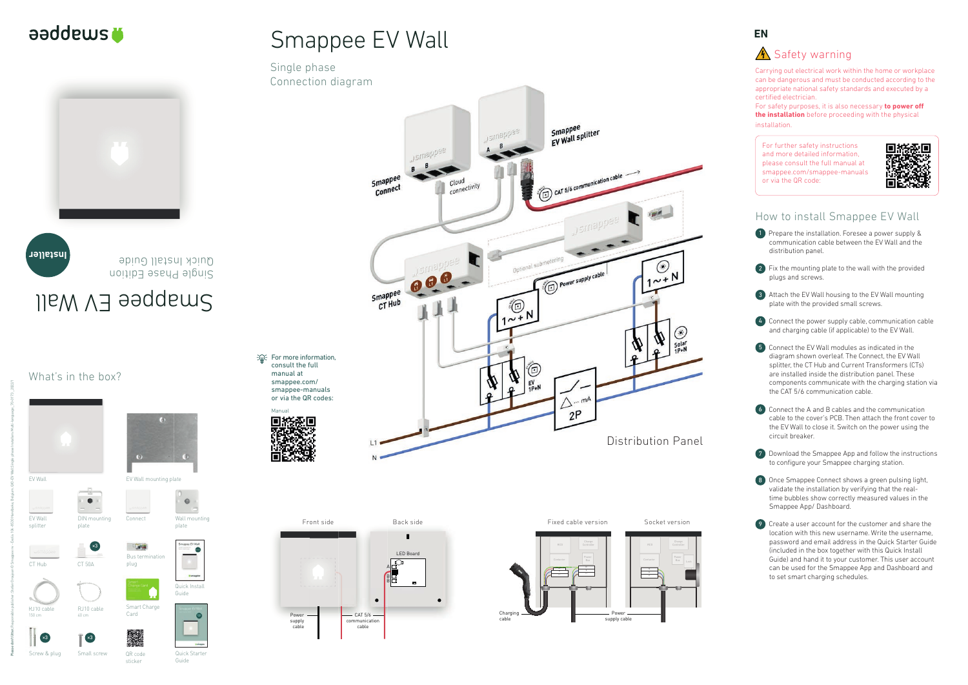

Smappee<br>EV Wall splitter

 $\epsilon_{\rm BH}$ 

 $\odot$ 

 $1^{\sim +N}$ 

T

Smappee EV Wall





Carrying out electrical work within the home or workplace can be dangerous and must be conducted according to the appropriate national safety standards and executed by a certified electrician.

What's in the box?

For safety purposes, it is also necessary **to power off the installation** before proceeding with the physical installation.

1 Prepare the installation. Foresee a power supply & communication cable between the EV Wall and the distribution panel.



For further safety instructions and more detailed information, please consult the full manual at smappee.com/smappee-manuals or via the QR code:



## How to install Smappee EV Wall

7 Download the Smappee App and follow the instructions to configure your Smappee charging station.

2 Fix the mounting plate to the wall with the provided plugs and screws.



3 Attach the EV Wall housing to the EV Wall mounting plate with the provided small screws.



5 Connect the EV Wall modules as indicated in the diagram shown overleaf. The Connect, the EV Wall splitter, the CT Hub and Current Transformers (CTs) are installed inside the distribution panel. These components communicate with the charging station via the CAT 5/6 communication cable.



**Bus term** plug

Front side Back side LED Board  $\overline{\mathbb{C}}$ A<br>B<br>B  $\bullet$  $-$  CAT 5/6 Power supply communication cable cable

6 Connect the A and B cables and the communication cable to the cover's PCB. Then attach the front cover to the EV Wall to close it. Switch on the power using the circuit breaker.



**《**》:For more information, consult the full manual at smappee.com/ smappee-manuals or via the QR codes:



**12tuabbas** 











9 Create a user account for the customer and share the location with this new username. Write the username, password and email address in the Quick Starter Guide (included in the box together with this Quick Install Guide) and hand it to your customer. This user account can be used for the Smappee App and Dashboard and to set smart charging schedules.



## **A** Safety warning

Wall mounting plate

 $\bullet$ 

 $\circ$ 

Connect

Screw & plug

Small screw

Smappee EV Wall

Single phase

Connection diagram









QR code sticker

Quick Install Guide

Esmapp

Smart Charge Card

> Quick Starter Guide